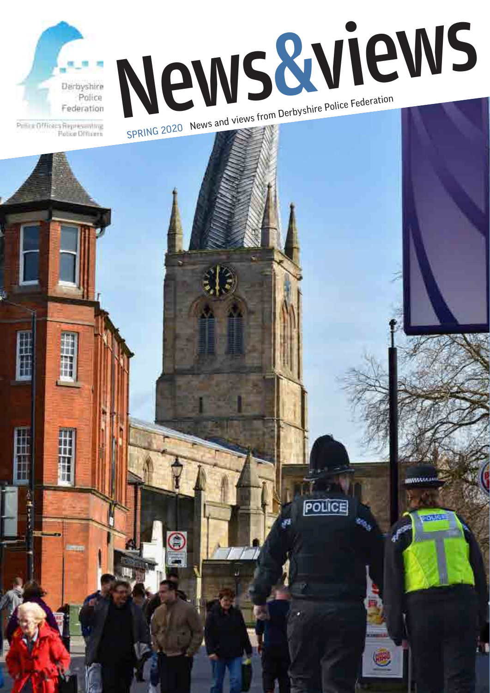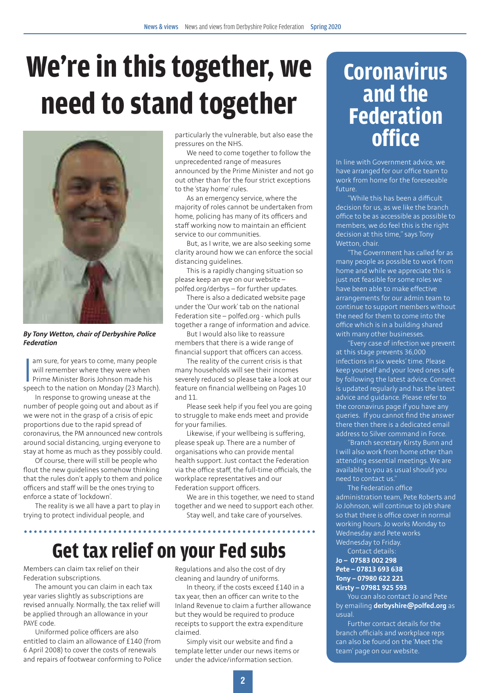# **We're in this together, we need to stand together**



*By Tony Wetton, chair of Derbyshire Police Federation*

I am sure, for years to come, many people<br>
will remember where they were when<br>
Prime Minister Boris Johnson made his<br>
speech to the nation on Monday (23 March). am sure, for years to come, many people will remember where they were when Prime Minister Boris Johnson made his

In response to growing unease at the number of people going out and about as if we were not in the grasp of a crisis of epic proportions due to the rapid spread of coronavirus, the PM announced new controls around social distancing, urging everyone to stay at home as much as they possibly could.

Of course, there will still be people who flout the new guidelines somehow thinking that the rules don't apply to them and police officers and staff will be the ones trying to enforce a state of 'lockdown'.

The reality is we all have a part to play in trying to protect individual people, and

particularly the vulnerable, but also ease the pressures on the NHS.

We need to come together to follow the unprecedented range of measures announced by the Prime Minister and not go out other than for the four strict exceptions to the 'stay home' rules.

As an emergency service, where the majority of roles cannot be undertaken from home, policing has many of its officers and staff working now to maintain an efficient service to our communities.

But, as I write, we are also seeking some clarity around how we can enforce the social distancing guidelines.

This is a rapidly changing situation so please keep an eye on our website – polfed.org/derbys – for further updates.

There is also a dedicated website page under the 'Our work' tab on the national Federation site – polfed.org - which pulls together a range of information and advice.

But I would also like to reassure members that there is a wide range of financial support that officers can access.

The reality of the current crisis is that many households will see their incomes severely reduced so please take a look at our feature on financial wellbeing on Pages 10 and 11.

Please seek help if you feel you are going to struggle to make ends meet and provide for your families.

Likewise, if your wellbeing is suffering, please speak up. There are a number of organisations who can provide mental health support. Just contact the Federation via the office staff, the full-time officials, the workplace representatives and our Federation support officers.

We are in this together, we need to stand together and we need to support each other. Stay well, and take care of yourselves.

### **Get tax relief on your Fed subs**

Members can claim tax relief on their Federation subscriptions.

The amount you can claim in each tax year varies slightly as subscriptions are revised annually. Normally, the tax relief will be applied through an allowance in your PAYE code.

Uniformed police officers are also entitled to claim an allowance of £140 (from 6 April 2008) to cover the costs of renewals and repairs of footwear conforming to Police

Regulations and also the cost of dry cleaning and laundry of uniforms.

In theory, if the costs exceed £140 in a tax year, then an officer can write to the Inland Revenue to claim a further allowance but they would be required to produce receipts to support the extra expenditure claimed.

Simply visit our website and find a template letter under our news items or under the advice/information section.

### **Coronavirus and the Federation office**

In line with Government advice, we have arranged for our office team to work from home for the foreseeable future.

"While this has been a difficult decision for us, as we like the branch office to be as accessible as possible to members, we do feel this is the right decision at this time," says Tony Wetton, chair.

"The Government has called for as many people as possible to work from home and while we appreciate this is just not feasible for some roles we have been able to make effective arrangements for our admin team to continue to support members without the need for them to come into the office which is in a building shared with many other businesses.

"Every case of infection we prevent at this stage prevents 36,000 infections in six weeks' time. Please keep yourself and your loved ones safe by following the latest advice. Connect is updated regularly and has the latest advice and guidance. Please refer to the coronavirus page if you have any queries. If you cannot find the answer there then there is a dedicated email address to Silver command in Force.

"Branch secretary Kirsty Bunn and I will also work from home other than attending essential meetings. We are available to you as usual should you need to contact us."

The Federation office administration team, Pete Roberts and Jo Johnson, will continue to job share so that there is office cover in normal working hours. Jo works Monday to Wednesday and Pete works Wednesday to Friday. Contact details:

#### **Jo – 07583 002 298 Pete – 07813 693 638 Tony – 07980 622 221 Kirsty – 07981 925 593**

You can also contact Jo and Pete by emailing **derbyshire@polfed.org** as usual.

Further contact details for the branch officials and workplace reps can also be found on the 'Meet the team' page on our website.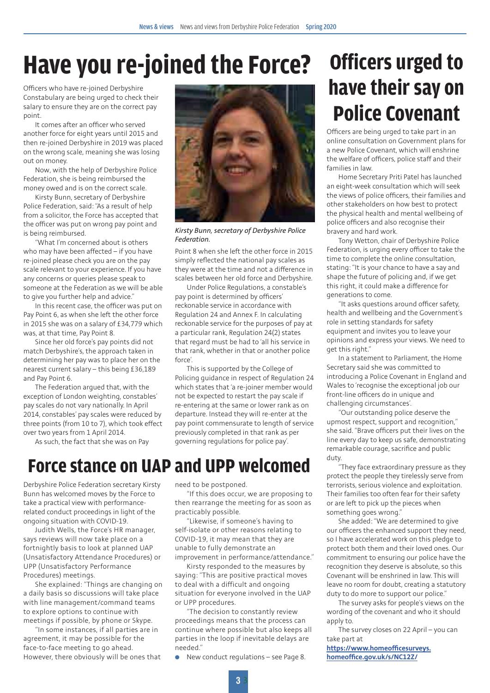### **Have you re-joined the Force? Officers urged to**

Officers who have re-joined Derbyshire Constabulary are being urged to check their salary to ensure they are on the correct pay point.

It comes after an officer who served another force for eight years until 2015 and then re-joined Derbyshire in 2019 was placed on the wrong scale, meaning she was losing out on money.

Now, with the help of Derbyshire Police Federation, she is being reimbursed the money owed and is on the correct scale.

Kirsty Bunn, secretary of Derbyshire Police Federation, said: "As a result of help from a solicitor, the Force has accepted that the officer was put on wrong pay point and is being reimbursed.

"What I'm concerned about is others who may have been affected – if you have re-joined please check you are on the pay scale relevant to your experience. If you have any concerns or queries please speak to someone at the Federation as we will be able to give you further help and advice."

In this recent case, the officer was put on Pay Point 6, as when she left the other force in 2015 she was on a salary of £34,779 which was, at that time, Pay Point 8.

Since her old force's pay points did not match Derbyshire's, the approach taken in determining her pay was to place her on the nearest current salary – this being £36,189 and Pay Point 6.

The Federation argued that, with the exception of London weighting, constables' pay scales do not vary nationally. In April 2014, constables' pay scales were reduced by three points (from 10 to 7), which took effect over two years from 1 April 2014.

As such, the fact that she was on Pay



*Kirsty Bunn, secretary of Derbyshire Police Federation.*

Point 8 when she left the other force in 2015 simply reflected the national pay scales as they were at the time and not a difference in scales between her old force and Derbyshire.

Under Police Regulations, a constable's pay point is determined by officers' reckonable service in accordance with Regulation 24 and Annex F. In calculating reckonable service for the purposes of pay at a particular rank, Regulation 24(2) states that regard must be had to 'all his service in that rank, whether in that or another police force'.

This is supported by the College of Policing guidance in respect of Regulation 24 which states that 'a re-joiner member would not be expected to restart the pay scale if re-entering at the same or lower rank as on departure. Instead they will re-enter at the pay point commensurate to length of service previously completed in that rank as per governing regulations for police pay'.

### **Force stance on UAP and UPP welcomed**

Derbyshire Police Federation secretary Kirsty Bunn has welcomed moves by the Force to take a practical view with performancerelated conduct proceedings in light of the ongoing situation with COVID-19.

Judith Wells, the Force's HR manager, says reviews will now take place on a fortnightly basis to look at planned UAP (Unsatisfactory Attendance Procedures) or UPP (Unsatisfactory Performance Procedures) meetings.

She explained: "Things are changing on a daily basis so discussions will take place with line management/command teams to explore options to continue with meetings if possible, by phone or Skype.

"In some instances, if all parties are in agreement, it may be possible for the face-to-face meeting to go ahead. However, there obviously will be ones that need to be postponed.

"If this does occur, we are proposing to then rearrange the meeting for as soon as practicably possible.

"Likewise, if someone's having to self-isolate or other reasons relating to COVID-19, it may mean that they are unable to fully demonstrate an improvement in performance/attendance."

Kirsty responded to the measures by saying: "This are positive practical moves to deal with a difficult and ongoing situation for everyone involved in the UAP or UPP procedures.

"The decision to constantly review proceedings means that the process can continue where possible but also keeps all parties in the loop if inevitable delays are needed."

 $\bullet$  New conduct regulations – see Page 8.

# **have their say on Police Covenant**

Officers are being urged to take part in an online consultation on Government plans for a new Police Covenant, which will enshrine the welfare of officers, police staff and their families in law.

Home Secretary Priti Patel has launched an eight-week consultation which will seek the views of police officers, their families and other stakeholders on how best to protect the physical health and mental wellbeing of police officers and also recognise their bravery and hard work.

Tony Wetton, chair of Derbyshire Police Federation, is urging every officer to take the time to complete the online consultation, stating: "It is your chance to have a say and shape the future of policing and, if we get this right, it could make a difference for generations to come.

"It asks questions around officer safety, health and wellbeing and the Government's role in setting standards for safety equipment and invites you to leave your opinions and express your views. We need to get this right."

In a statement to Parliament, the Home Secretary said she was committed to introducing a Police Covenant in England and Wales to 'recognise the exceptional job our front-line officers do in unique and challenging circumstances'.

"Our outstanding police deserve the upmost respect, support and recognition," she said. "Brave officers put their lives on the line every day to keep us safe, demonstrating remarkable courage, sacrifice and public duty.

"They face extraordinary pressure as they protect the people they tirelessly serve from terrorists, serious violence and exploitation. Their families too often fear for their safety or are left to pick up the pieces when something goes wrong."

She added: "We are determined to give our officers the enhanced support they need, so I have accelerated work on this pledge to protect both them and their loved ones. Our commitment to ensuring our police have the recognition they deserve is absolute, so this Covenant will be enshrined in law. This will leave no room for doubt, creating a statutory duty to do more to support our police."

The survey asks for people's views on the wording of the covenant and who it should apply to.

The survey closes on 22 April – you can take part at

**[https://www.homeofficesurveys.](https://www.homeofficesurveys.homeoffice.gov.uk/s/NC12Z/) [homeoffice.gov.uk/s/NC12Z/](https://www.homeofficesurveys.homeoffice.gov.uk/s/NC12Z/)**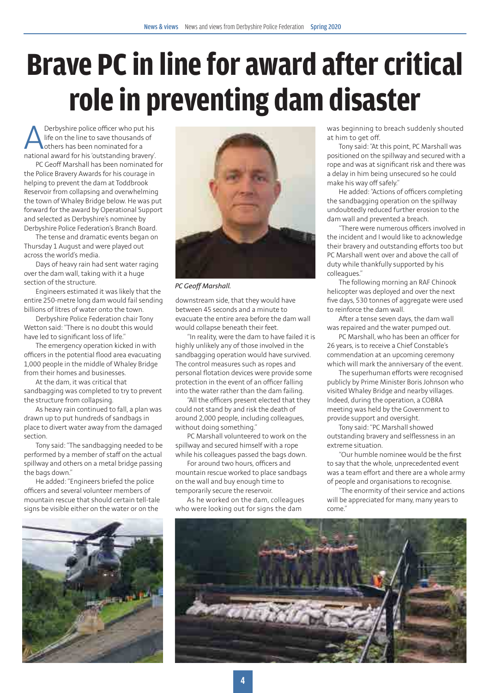# **Brave PC in line for award after critical role in preventing dam disaster**

**A** Derbyshire police officer who put his<br>life on the line to save thousands of<br>national award for his 'outstanding bravery' life on the line to save thousands of others has been nominated for a national award for his 'outstanding bravery'.

PC Geoff Marshall has been nominated for the Police Bravery Awards for his courage in helping to prevent the dam at Toddbrook Reservoir from collapsing and overwhelming the town of Whaley Bridge below. He was put forward for the award by Operational Support and selected as Derbyshire's nominee by Derbyshire Police Federation's Branch Board.

The tense and dramatic events began on Thursday 1 August and were played out across the world's media.

Days of heavy rain had sent water raging over the dam wall, taking with it a huge section of the structure.

Engineers estimated it was likely that the entire 250-metre long dam would fail sending billions of litres of water onto the town.

Derbyshire Police Federation chair Tony Wetton said: "There is no doubt this would have led to significant loss of life."

The emergency operation kicked in with officers in the potential flood area evacuating 1,000 people in the middle of Whaley Bridge from their homes and businesses.

At the dam, it was critical that sandbagging was completed to try to prevent the structure from collapsing.

As heavy rain continued to fall, a plan was drawn up to put hundreds of sandbags in place to divert water away from the damaged section.

Tony said: "The sandbagging needed to be performed by a member of staff on the actual spillway and others on a metal bridge passing the bags down."

He added: "Engineers briefed the police officers and several volunteer members of mountain rescue that should certain tell-tale signs be visible either on the water or on the





*PC Geoff Marshall.*

downstream side, that they would have between 45 seconds and a minute to evacuate the entire area before the dam wall would collapse beneath their feet.

"In reality, were the dam to have failed it is highly unlikely any of those involved in the sandbagging operation would have survived. The control measures such as ropes and personal flotation devices were provide some protection in the event of an officer falling into the water rather than the dam failing.

"All the officers present elected that they could not stand by and risk the death of around 2,000 people, including colleagues, without doing something."

PC Marshall volunteered to work on the spillway and secured himself with a rope while his colleagues passed the bags down.

For around two hours, officers and mountain rescue worked to place sandbags on the wall and buy enough time to temporarily secure the reservoir.

As he worked on the dam, colleagues who were looking out for signs the dam

was beginning to breach suddenly shouted at him to get off.

Tony said: "At this point, PC Marshall was positioned on the spillway and secured with a rope and was at significant risk and there was a delay in him being unsecured so he could make his way off safely."

He added: "Actions of officers completing the sandbagging operation on the spillway undoubtedly reduced further erosion to the dam wall and prevented a breach.

"There were numerous officers involved in the incident and I would like to acknowledge their bravery and outstanding efforts too but PC Marshall went over and above the call of duty while thankfully supported by his colleagues."

The following morning an RAF Chinook helicopter was deployed and over the next five days, 530 tonnes of aggregate were used to reinforce the dam wall.

After a tense seven days, the dam wall was repaired and the water pumped out.

PC Marshall, who has been an officer for 26 years, is to receive a Chief Constable's commendation at an upcoming ceremony which will mark the anniversary of the event.

The superhuman efforts were recognised publicly by Prime Minister Boris Johnson who visited Whaley Bridge and nearby villages. Indeed, during the operation, a COBRA meeting was held by the Government to provide support and oversight.

Tony said: "PC Marshall showed outstanding bravery and selflessness in an extreme situation.

"Our humble nominee would be the first to say that the whole, unprecedented event was a team effort and there are a whole army of people and organisations to recognise.

"The enormity of their service and actions will be appreciated for many, many years to come."

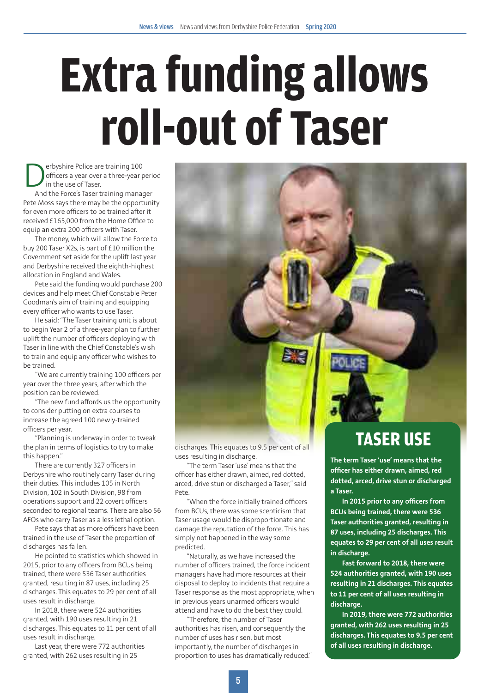# **Extra funding allows roll-out of Taser**

**Derbyshire Police are training 100**<br>officers a year over a three-year p<br>and the Force's Taser training manage officers a year over a three-year period in the use of Taser.

And the Force's Taser training manager Pete Moss says there may be the opportunity for even more officers to be trained after it received £165,000 from the Home Office to equip an extra 200 officers with Taser.

The money, which will allow the Force to buy 200 Taser X2s, is part of £10 million the Government set aside for the uplift last year and Derbyshire received the eighth-highest allocation in England and Wales.

Pete said the funding would purchase 200 devices and help meet Chief Constable Peter Goodman's aim of training and equipping every officer who wants to use Taser.

He said: "The Taser training unit is about to begin Year 2 of a three-year plan to further uplift the number of officers deploying with Taser in line with the Chief Constable's wish to train and equip any officer who wishes to be trained.

"We are currently training 100 officers per year over the three years, after which the position can be reviewed.

"The new fund affords us the opportunity to consider putting on extra courses to increase the agreed 100 newly-trained officers per year.

"Planning is underway in order to tweak the plan in terms of logistics to try to make this happen."

There are currently 327 officers in Derbyshire who routinely carry Taser during their duties. This includes 105 in North Division, 102 in South Division, 98 from operations support and 22 covert officers seconded to regional teams. There are also 56 AFOs who carry Taser as a less lethal option.

Pete says that as more officers have been trained in the use of Taser the proportion of discharges has fallen.

He pointed to statistics which showed in 2015, prior to any officers from BCUs being trained, there were 536 Taser authorities granted, resulting in 87 uses, including 25 discharges. This equates to 29 per cent of all uses result in discharge.

In 2018, there were 524 authorities granted, with 190 uses resulting in 21 discharges. This equates to 11 per cent of all uses result in discharge.

Last year, there were 772 authorities granted, with 262 uses resulting in 25



discharges. This equates to 9.5 per cent of all uses resulting in discharge.

"The term Taser 'use' means that the officer has either drawn, aimed, red dotted, arced, drive stun or discharged a Taser," said Pete.

"When the force initially trained officers from BCUs, there was some scepticism that Taser usage would be disproportionate and damage the reputation of the force. This has simply not happened in the way some predicted.

"Naturally, as we have increased the number of officers trained, the force incident managers have had more resources at their disposal to deploy to incidents that require a Taser response as the most appropriate, when in previous years unarmed officers would attend and have to do the best they could.

"Therefore, the number of Taser authorities has risen, and consequently the number of uses has risen, but most importantly, the number of discharges in proportion to uses has dramatically reduced."

### **TASER USE**

**The term Taser 'use' means that the officer has either drawn, aimed, red dotted, arced, drive stun or discharged a Taser.**

**In 2015 prior to any officers from BCUs being trained, there were 536 Taser authorities granted, resulting in 87 uses, including 25 discharges. This equates to 29 per cent of all uses result in discharge.**

**Fast forward to 2018, there were 524 authorities granted, with 190 uses resulting in 21 discharges. This equates to 11 per cent of all uses resulting in discharge.**

**In 2019, there were 772 authorities granted, with 262 uses resulting in 25 discharges. This equates to 9.5 per cent of all uses resulting in discharge.**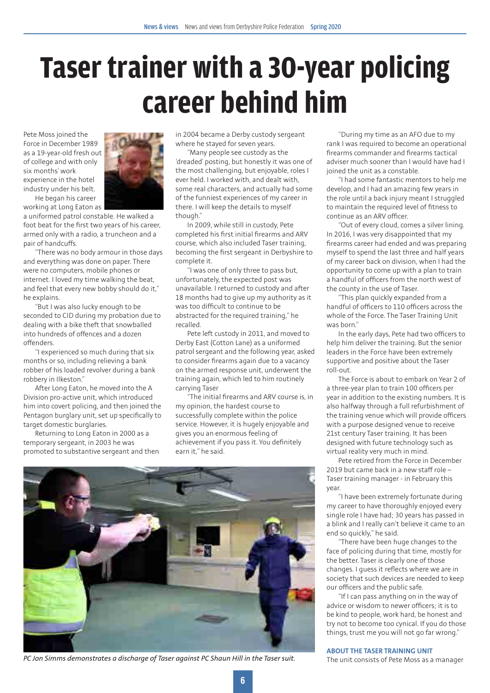## **Taser trainer with a 30-year policing career behind him**

Pete Moss joined the Force in December 1989 as a 19-year-old fresh out of college and with only six months' work experience in the hotel industry under his belt. He began his career



working at Long Eaton as a uniformed patrol constable. He walked a foot beat for the first two years of his career, armed only with a radio, a truncheon and a pair of handcuffs.

"There was no body armour in those days and everything was done on paper. There were no computers, mobile phones or internet. I loved my time walking the beat, and feel that every new bobby should do it," he explains.

"But I was also lucky enough to be seconded to CID during my probation due to dealing with a bike theft that snowballed into hundreds of offences and a dozen offenders.

"I experienced so much during that six months or so, including relieving a bank robber of his loaded revolver during a bank robbery in Ilkeston."

After Long Eaton, he moved into the A Division pro-active unit, which introduced him into covert policing, and then joined the Pentagon burglary unit, set up specifically to target domestic burglaries.

Returning to Long Eaton in 2000 as a temporary sergeant, in 2003 he was promoted to substantive sergeant and then in 2004 became a Derby custody sergeant where he stayed for seven years.

"Many people see custody as the 'dreaded' posting, but honestly it was one of the most challenging, but enjoyable, roles I ever held. I worked with, and dealt with, some real characters, and actually had some of the funniest experiences of my career in there. I will keep the details to myself though."

In 2009, while still in custody, Pete completed his first initial firearms and ARV course, which also included Taser training, becoming the first sergeant in Derbyshire to complete it.

"I was one of only three to pass but, unfortunately, the expected post was unavailable. I returned to custody and after 18 months had to give up my authority as it was too difficult to continue to be abstracted for the required training," he recalled.

Pete left custody in 2011, and moved to Derby East (Cotton Lane) as a uniformed patrol sergeant and the following year, asked to consider firearms again due to a vacancy on the armed response unit, underwent the training again, which led to him routinely carrying Taser

"The initial firearms and ARV course is, in my opinion, the hardest course to successfully complete within the police service. However, it is hugely enjoyable and gives you an enormous feeling of achievement if you pass it. You definitely earn it," he said.



*PC Jon Simms demonstrates a discharge of Taser against PC Shaun Hill in the Taser suit.* The unit consists of Pete Moss as a manager

"During my time as an AFO due to my rank I was required to become an operational firearms commander and firearms tactical adviser much sooner than I would have had I joined the unit as a constable.

"I had some fantastic mentors to help me develop, and I had an amazing few years in the role until a back injury meant I struggled to maintain the required level of fitness to continue as an ARV officer.

"Out of every cloud, comes a silver lining. In 2016, I was very disappointed that my firearms career had ended and was preparing myself to spend the last three and half years of my career back on division, when I had the opportunity to come up with a plan to train a handful of officers from the north west of the county in the use of Taser.

"This plan quickly expanded from a handful of officers to 110 officers across the whole of the Force. The Taser Training Unit was born."

In the early days, Pete had two officers to help him deliver the training. But the senior leaders in the Force have been extremely supportive and positive about the Taser roll-out.

The Force is about to embark on Year 2 of a three-year plan to train 100 officers per year in addition to the existing numbers. It is also halfway through a full refurbishment of the training venue which will provide officers with a purpose designed venue to receive 21st century Taser training. It has been designed with future technology such as virtual reality very much in mind.

Pete retired from the Force in December 2019 but came back in a new staff role – Taser training manager - in February this year.

"I have been extremely fortunate during my career to have thoroughly enjoyed every single role I have had; 30 years has passed in a blink and I really can't believe it came to an end so quickly," he said.

"There have been huge changes to the face of policing during that time, mostly for the better. Taser is clearly one of those changes. I guess it reflects where we are in society that such devices are needed to keep our officers and the public safe.

"If I can pass anything on in the way of advice or wisdom to newer officers; it is to be kind to people, work hard, be honest and try not to become too cynical. If you do those things, trust me you will not go far wrong."

**ABOUT THE TASER TRAINING UNIT**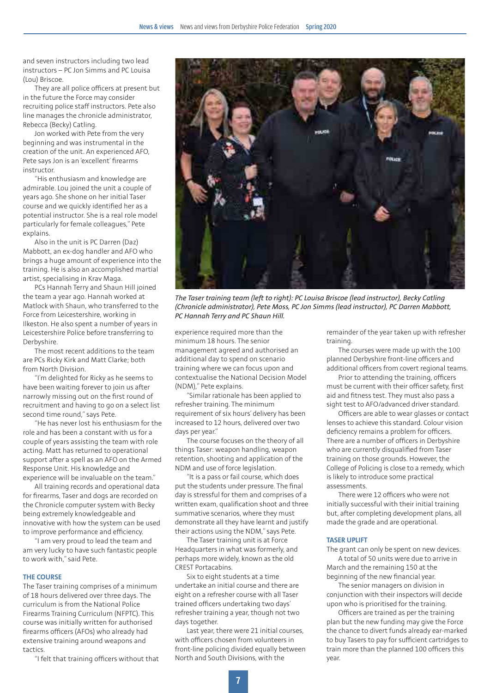and seven instructors including two lead instructors – PC Jon Simms and PC Louisa (Lou) Briscoe.

They are all police officers at present but in the future the Force may consider recruiting police staff instructors. Pete also line manages the chronicle administrator, Rebecca (Becky) Catling.

Jon worked with Pete from the very beginning and was instrumental in the creation of the unit. An experienced AFO, Pete says Jon is an 'excellent' firearms instructor.

"His enthusiasm and knowledge are admirable. Lou joined the unit a couple of years ago. She shone on her initial Taser course and we quickly identified her as a potential instructor. She is a real role model particularly for female colleagues," Pete explains.

Also in the unit is PC Darren (Daz) Mabbott, an ex-dog handler and AFO who brings a huge amount of experience into the training. He is also an accomplished martial artist, specialising in Krav Maga.

PCs Hannah Terry and Shaun Hill joined the team a year ago. Hannah worked at Matlock with Shaun, who transferred to the Force from Leicestershire, working in Ilkeston. He also spent a number of years in Leicestershire Police before transferring to Derbyshire.

The most recent additions to the team are PCs Ricky Kirk and Matt Clarke; both from North Division.

"I'm delighted for Ricky as he seems to have been waiting forever to join us after narrowly missing out on the first round of recruitment and having to go on a select list second time round," says Pete.

"He has never lost his enthusiasm for the role and has been a constant with us for a couple of years assisting the team with role acting. Matt has returned to operational support after a spell as an AFO on the Armed Response Unit. His knowledge and experience will be invaluable on the team."

All training records and operational data for firearms, Taser and dogs are recorded on the Chronicle computer system with Becky being extremely knowledgeable and innovative with how the system can be used to improve performance and efficiency.

"I am very proud to lead the team and am very lucky to have such fantastic people to work with," said Pete.

#### **THE COURSE**

The Taser training comprises of a minimum of 18 hours delivered over three days. The curriculum is from the National Police Firearms Training Curriculum (NFPTC). This course was initially written for authorised firearms officers (AFOs) who already had extensive training around weapons and tactics.

"I felt that training officers without that



*The Taser training team (left to right): PC Louisa Briscoe (lead instructor), Becky Catling (Chronicle administrator), Pete Moss, PC Jon Simms (lead instructor), PC Darren Mabbott, PC Hannah Terry and PC Shaun Hill.*

experience required more than the minimum 18 hours. The senior management agreed and authorised an additional day to spend on scenario training where we can focus upon and contextualise the National Decision Model (NDM)," Pete explains.

"Similar rationale has been applied to refresher training. The minimum requirement of six hours' delivery has been increased to 12 hours, delivered over two days per year."

The course focuses on the theory of all things Taser: weapon handling, weapon retention, shooting and application of the NDM and use of force legislation.

"It is a pass or fail course, which does put the students under pressure. The final day is stressful for them and comprises of a written exam, qualification shoot and three summative scenarios, where they must demonstrate all they have learnt and justify their actions using the NDM," says Pete.

The Taser training unit is at Force Headquarters in what was formerly, and perhaps more widely, known as the old CREST Portacabins.

Six to eight students at a time undertake an initial course and there are eight on a refresher course with all Taser trained officers undertaking two days' refresher training a year, though not two days together.

Last year, there were 21 initial courses, with officers chosen from volunteers in front-line policing divided equally between North and South Divisions, with the

remainder of the year taken up with refresher training.

The courses were made up with the 100 planned Derbyshire front-line officers and additional officers from covert regional teams.

Prior to attending the training, officers must be current with their officer safety, first aid and fitness test. They must also pass a sight test to AFO/advanced driver standard.

Officers are able to wear glasses or contact lenses to achieve this standard. Colour vision deficiency remains a problem for officers. There are a number of officers in Derbyshire who are currently disqualified from Taser training on those grounds. However, the College of Policing is close to a remedy, which is likely to introduce some practical assessments.

There were 12 officers who were not initially successful with their initial training but, after completing development plans, all made the grade and are operational.

#### **TASER UPLIFT**

The grant can only be spent on new devices. A total of 50 units were due to arrive in March and the remaining 150 at the

beginning of the new financial year. The senior managers on division in conjunction with their inspectors will decide upon who is prioritised for the training.

Officers are trained as per the training plan but the new funding may give the Force the chance to divert funds already ear-marked to buy Tasers to pay for sufficient cartridges to train more than the planned 100 officers this year.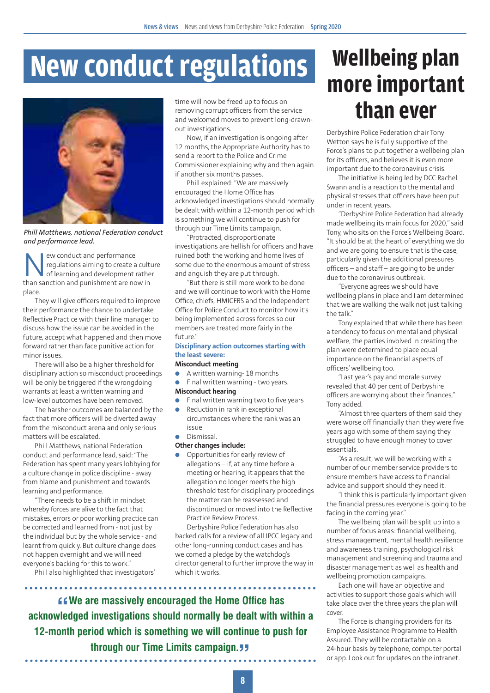## **New conduct regulations**



*Phill Matthews, national Federation conduct and performance lead.*

EV ew conduct and performance<br>regulations aiming to create a<br>than sanction and punishment are no regulations aiming to create a culture of learning and development rather than sanction and punishment are now in place.

They will give officers required to improve their performance the chance to undertake Reflective Practice with their line manager to discuss how the issue can be avoided in the future, accept what happened and then move forward rather than face punitive action for minor issues.

There will also be a higher threshold for disciplinary action so misconduct proceedings will be only be triggered if the wrongdoing warrants at least a written warning and low-level outcomes have been removed.

The harsher outcomes are balanced by the fact that more officers will be diverted away from the misconduct arena and only serious matters will be escalated.

Phill Matthews, national Federation conduct and performance lead, said: "The Federation has spent many years lobbying for a culture change in police discipline - away from blame and punishment and towards learning and performance.

"There needs to be a shift in mindset whereby forces are alive to the fact that mistakes, errors or poor working practice can be corrected and learned from - not just by the individual but by the whole service - and learnt from quickly. But culture change does not happen overnight and we will need everyone's backing for this to work."

Phill also highlighted that investigators'

time will now be freed up to focus on removing corrupt officers from the service and welcomed moves to prevent long-drawnout investigations.

Now, if an investigation is ongoing after 12 months, the Appropriate Authority has to send a report to the Police and Crime Commissioner explaining why and then again if another six months passes.

Phill explained: "We are massively encouraged the Home Office has acknowledged investigations should normally be dealt with within a 12-month period which is something we will continue to push for through our Time Limits campaign.

"Protracted, disproportionate investigations are hellish for officers and have ruined both the working and home lives of some due to the enormous amount of stress and anguish they are put through.

"But there is still more work to be done and we will continue to work with the Home Office, chiefs, HMICFRS and the Independent Office for Police Conduct to monitor how it's being implemented across forces so our members are treated more fairly in the future."

#### **Disciplinary action outcomes starting with the least severe:**

#### **Misconduct meeting**

- A written warning- 18 months
- $\bullet$  Final written warning two years. **Misconduct hearing**
- Final written warning two to five years
- Reduction in rank in exceptional circumstances where the rank was an issue
- Dismissal.
- **Other changes include:**

. . . . . . . . . . . . . . . . . .

Opportunities for early review of allegations – if, at any time before a meeting or hearing, it appears that the allegation no longer meets the high threshold test for disciplinary proceedings the matter can be reassessed and discontinued or moved into the Reflective Practice Review Process.

Derbyshire Police Federation has also backed calls for a review of all IPCC legacy and other long-running conduct cases and has welcomed a pledge by the watchdog's director general to further improve the way in which it works.

**" acknowledged investigations should normally be dealt with within a We are massively encouraged the Home Office has 12-month period which is something we will continue to push for through our Time Limits campaign."**

### **Wellbeing plan more important than ever**

Derbyshire Police Federation chair Tony Wetton says he is fully supportive of the Force's plans to put together a wellbeing plan for its officers, and believes it is even more important due to the coronavirus crisis.

The initiative is being led by DCC Rachel Swann and is a reaction to the mental and physical stresses that officers have been put under in recent years.

"Derbyshire Police Federation had already made wellbeing its main focus for 2020," said Tony, who sits on the Force's Wellbeing Board. "It should be at the heart of everything we do and we are going to ensure that is the case, particularly given the additional pressures officers – and staff – are going to be under due to the coronavirus outbreak.

"Everyone agrees we should have wellbeing plans in place and I am determined that we are walking the walk not just talking the talk."

Tony explained that while there has been a tendency to focus on mental and physical welfare, the parties involved in creating the plan were determined to place equal importance on the financial aspects of officers' wellbeing too.

"Last year's pay and morale survey revealed that 40 per cent of Derbyshire officers are worrying about their finances," Tony added.

"Almost three quarters of them said they were worse off financially than they were five years ago with some of them saying they struggled to have enough money to cover essentials.

"As a result, we will be working with a number of our member service providers to ensure members have access to financial advice and support should they need it.

"I think this is particularly important given the financial pressures everyone is going to be facing in the coming year."

The wellbeing plan will be split up into a number of focus areas: financial wellbeing, stress management, mental health resilience and awareness training, psychological risk management and screening and trauma and disaster management as well as health and wellbeing promotion campaigns.

Each one will have an objective and activities to support those goals which will take place over the three years the plan will cover.

The Force is changing providers for its Employee Assistance Programme to Health Assured. They will be contactable on a 24-hour basis by telephone, computer portal or app. Look out for updates on the intranet.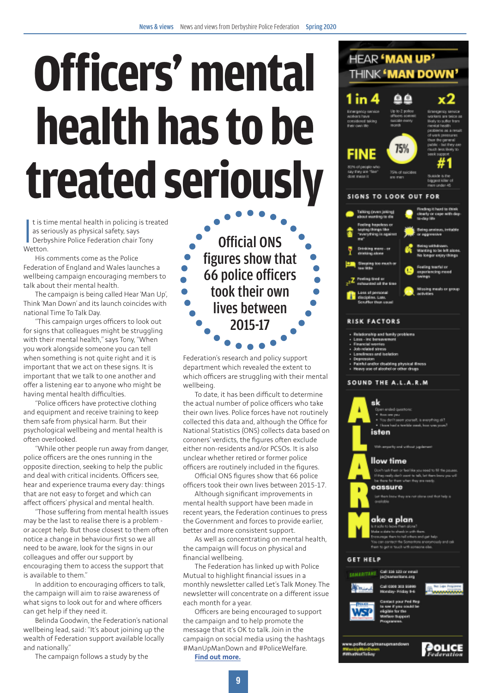# **Officers' mental health has to be treated seriously**

t is ti<br>
as ser<br>
Derby<br>
Wetton. t is time mental health in policing is treated as seriously as physical safety, says Derbyshire Police Federation chair Tony

His comments come as the Police Federation of England and Wales launches a wellbeing campaign encouraging members to talk about their mental health.

The campaign is being called Hear 'Man Up', Think 'Man Down' and its launch coincides with national Time To Talk Day.

"This campaign urges officers to look out for signs that colleagues might be struggling with their mental health," says Tony, "When you work alongside someone you can tell when something is not quite right and it is important that we act on these signs. It is important that we talk to one another and offer a listening ear to anyone who might be having mental health difficulties.

"Police officers have protective clothing and equipment and receive training to keep them safe from physical harm. But their psychological wellbeing and mental health is often overlooked.

"While other people run away from danger, police officers are the ones running in the opposite direction, seeking to help the public and deal with critical incidents. Officers see, hear and experience trauma every day: things that are not easy to forget and which can affect officers' physical and mental health.

"Those suffering from mental health issues may be the last to realise there is a problem or accept help. But those closest to them often notice a change in behaviour first so we all need to be aware, look for the signs in our colleagues and offer our support by encouraging them to access the support that is available to them."

In addition to encouraging officers to talk, the campaign will aim to raise awareness of what signs to look out for and where officers can get help if they need it.

Belinda Goodwin, the Federation's national wellbeing lead, said: "It's about joining up the wealth of Federation support available locally and nationally."

The campaign follows a study by the

Official ONS figures show that 66 police officers took their own lives between 2015-17

Federation's research and policy support department which revealed the extent to which officers are struggling with their mental wellbeing.

To date, it has been difficult to determine the actual number of police officers who take their own lives. Police forces have not routinely collected this data and, although the Office for National Statistics (ONS) collects data based on coroners' verdicts, the figures often exclude either non-residents and/or PCSOs. It is also unclear whether retired or former police officers are routinely included in the figures.

Official ONS figures show that 66 police officers took their own lives between 2015-17.

Although significant improvements in mental health support have been made in recent years, the Federation continues to press the Government and forces to provide earlier, better and more consistent support.

As well as concentrating on mental health, the campaign will focus on physical and financial wellbeing.

The Federation has linked up with Police Mutual to highlight financial issues in a monthly newsletter called Let's Talk Money. The newsletter will concentrate on a different issue each month for a year.

Officers are being encouraged to support the campaign and to help promote the message that it's OK to talk. Join in the campaign on social media using the hashtags #ManUpManDown and #PoliceWelfare.

**[Find out more.](https://www.polfed.org/news-media/latest-news/2020/police-officers-mental-health-focus-of-new-campaign/)**



**GET HELP** all 116 122 or email **COMMERCIAL** 



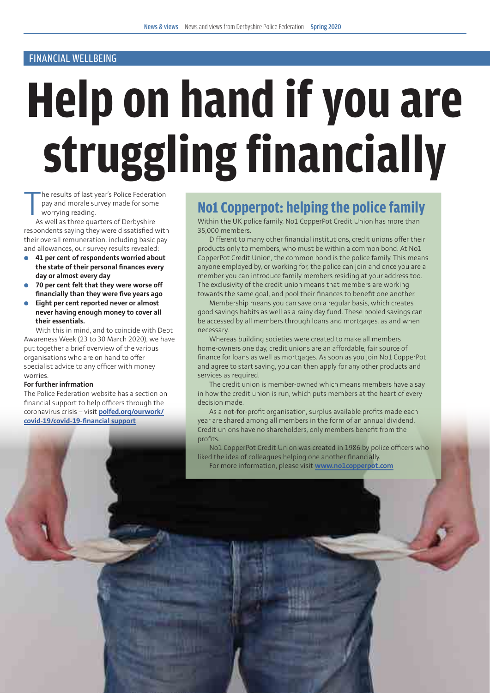#### FINANCIAL WELLBEING

# **Help on hand if you are struggling financially**

**10**

 $\prod_{A^{\alpha}}$ he results of last year's Police Federation pay and morale survey made for some worrying reading.

As well as three quarters of Derbyshire respondents saying they were dissatisfied with their overall remuneration, including basic pay and allowances, our survey results revealed:

- l **41 per cent of respondents worried about the state of their personal finances every day or almost every day**
- **a** 70 per cent felt that they were worse off **financially than they were five years ago**
- **e** Eight per cent reported never or almost **never having enough money to cover all their essentials.**

With this in mind, and to coincide with Debt Awareness Week (23 to 30 March 2020), we have put together a brief overview of the various organisations who are on hand to offer specialist advice to any officer with money worries.

#### **For further infrmation**

The Police Federation website has a section on financial support to help officers through the coronavirus crisis – visit **[polfed.org/ourwork/](http://polfed.org/ourwork/covid-19/covid-19-financial support) [covid-19/covid-19-financial support](http://polfed.org/ourwork/covid-19/covid-19-financial support)**

#### **No1 Copperpot: helping the police family**

Within the UK police family, No1 CopperPot Credit Union has more than 35,000 members.

Different to many other financial institutions, credit unions offer their products only to members, who must be within a common bond. At No1 CopperPot Credit Union, the common bond is the police family. This means anyone employed by, or working for, the police can join and once you are a member you can introduce family members residing at your address too. The exclusivity of the credit union means that members are working towards the same goal, and pool their finances to benefit one another.

Membership means you can save on a regular basis, which creates good savings habits as well as a rainy day fund. These pooled savings can be accessed by all members through loans and mortgages, as and when necessary.

Whereas building societies were created to make all members home-owners one day, credit unions are an affordable, fair source of finance for loans as well as mortgages. As soon as you join No1 CopperPot and agree to start saving, you can then apply for any other products and services as required.

The credit union is member-owned which means members have a say in how the credit union is run, which puts members at the heart of every decision made.

As a not-for-profit organisation, surplus available profits made each year are shared among all members in the form of an annual dividend. Credit unions have no shareholders, only members benefit from the profits.

No1 CopperPot Credit Union was created in 1986 by police officers who liked the idea of colleagues helping one another financially. For more information, please visit **[www.no1copperpot.com](http://www.no1copperpot.com)**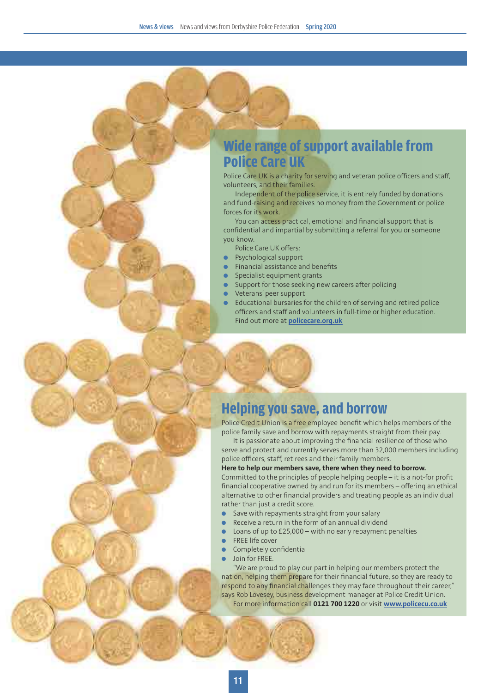#### **Wide range of support available from Police Care UK**

Police Care UK is a charity for serving and veteran police officers and staff, volunteers, and their families.

Independent of the police service, it is entirely funded by donations and fund-raising and receives no money from the Government or police forces for its work.

You can access practical, emotional and financial support that is confidential and impartial by submitting a referral for you or someone you know.

- Police Care UK offers:
- Psychological support
- Financial assistance and benefits
- Specialist equipment grants
- Support for those seeking new careers after policing
- l Veterans' peer support
- l Educational bursaries for the children of serving and retired police officers and staff and volunteers in full-time or higher education. Find out more at **[policecare.org.uk](http://policecare.org.uk)**

#### **Helping you save, and borrow**

Police Credit Union is a free employee benefit which helps members of the police family save and borrow with repayments straight from their pay.

It is passionate about improving the financial resilience of those who serve and protect and currently serves more than 32,000 members including police officers, staff, retirees and their family members.

#### **Here to help our members save, there when they need to borrow.**

Committed to the principles of people helping people – it is a not-for profit financial cooperative owned by and run for its members – offering an ethical alternative to other financial providers and treating people as an individual rather than just a credit score.

- $\bullet$  Save with repayments straight from your salary
- Receive a return in the form of an annual dividend
- l Loans of up to £25,000 with no early repayment penalties
- FREE life cover
- Completely confidential
- Join for FREE.

"We are proud to play our part in helping our members protect the nation, helping them prepare for their financial future, so they are ready to respond to any financial challenges they may face throughout their career," says Rob Lovesey, business development manager at Police Credit Union.

For more information call **0121 700 1220** or visit **[www.policecu.co.uk](http://www.policecu.co.uk)**